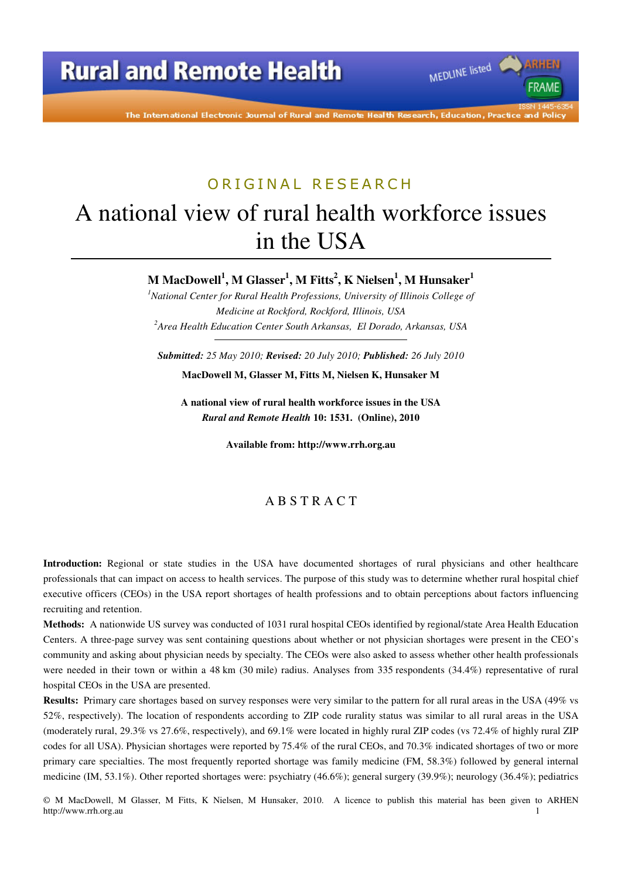The International Electronic Journal of Rural and Remote Health Research, Education, Practice and Policy

MEDLINE listed

**FRAME** 

# ORIGINAL RESEARCH

# A national view of rural health workforce issues in the USA

**M MacDowell<sup>1</sup> , M Glasser<sup>1</sup> , M Fitts<sup>2</sup> , K Nielsen<sup>1</sup> , M Hunsaker<sup>1</sup>**

<sup>1</sup>*National Center for Rural Health Professions, University of Illinois College of Medicine at Rockford, Rockford, Illinois, USA <sup>2</sup>Area Health Education Center South Arkansas, El Dorado, Arkansas, USA* 

*Submitted: 25 May 2010; Revised: 20 July 2010; Published: 26 July 2010* 

**MacDowell M, Glasser M, Fitts M, Nielsen K, Hunsaker M** 

**A national view of rural health workforce issues in the USA**  *Rural and Remote Health* **10: 1531. (Online), 2010** 

**Available from: http://www.rrh.org.au** 

#### A B S T R A C T

**Introduction:** Regional or state studies in the USA have documented shortages of rural physicians and other healthcare professionals that can impact on access to health services. The purpose of this study was to determine whether rural hospital chief executive officers (CEOs) in the USA report shortages of health professions and to obtain perceptions about factors influencing recruiting and retention.

**Methods:** A nationwide US survey was conducted of 1031 rural hospital CEOs identified by regional/state Area Health Education Centers. A three-page survey was sent containing questions about whether or not physician shortages were present in the CEO's community and asking about physician needs by specialty. The CEOs were also asked to assess whether other health professionals were needed in their town or within a 48 km (30 mile) radius. Analyses from 335 respondents (34.4%) representative of rural hospital CEOs in the USA are presented.

**Results:** Primary care shortages based on survey responses were very similar to the pattern for all rural areas in the USA (49% vs 52%, respectively). The location of respondents according to ZIP code rurality status was similar to all rural areas in the USA (moderately rural, 29.3% vs 27.6%, respectively), and 69.1% were located in highly rural ZIP codes (vs 72.4% of highly rural ZIP codes for all USA). Physician shortages were reported by 75.4% of the rural CEOs, and 70.3% indicated shortages of two or more primary care specialties. The most frequently reported shortage was family medicine (FM, 58.3%) followed by general internal medicine (IM, 53.1%). Other reported shortages were: psychiatry (46.6%); general surgery (39.9%); neurology (36.4%); pediatrics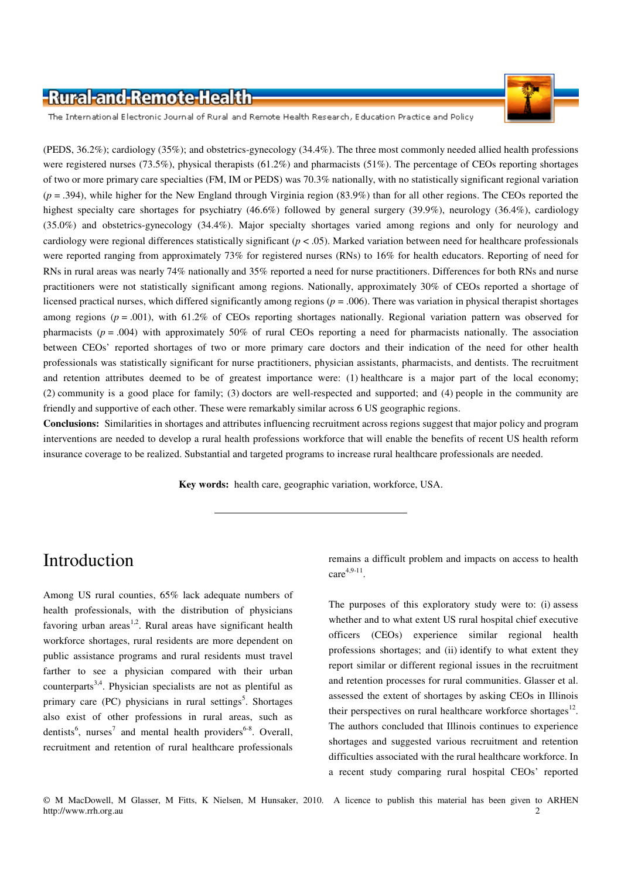

The International Electronic Journal of Rural and Remote Health Research, Education Practice and Policy

(PEDS, 36.2%); cardiology (35%); and obstetrics-gynecology (34.4%). The three most commonly needed allied health professions were registered nurses (73.5%), physical therapists (61.2%) and pharmacists (51%). The percentage of CEOs reporting shortages of two or more primary care specialties (FM, IM or PEDS) was 70.3% nationally, with no statistically significant regional variation (*p* = .394), while higher for the New England through Virginia region (83.9%) than for all other regions. The CEOs reported the highest specialty care shortages for psychiatry (46.6%) followed by general surgery (39.9%), neurology (36.4%), cardiology (35.0%) and obstetrics-gynecology (34.4%). Major specialty shortages varied among regions and only for neurology and cardiology were regional differences statistically significant (*p* < .05). Marked variation between need for healthcare professionals were reported ranging from approximately 73% for registered nurses (RNs) to 16% for health educators. Reporting of need for RNs in rural areas was nearly 74% nationally and 35% reported a need for nurse practitioners. Differences for both RNs and nurse practitioners were not statistically significant among regions. Nationally, approximately 30% of CEOs reported a shortage of licensed practical nurses, which differed significantly among regions (*p* = .006). There was variation in physical therapist shortages among regions (*p* = .001), with 61.2% of CEOs reporting shortages nationally. Regional variation pattern was observed for pharmacists  $(p = .004)$  with approximately 50% of rural CEOs reporting a need for pharmacists nationally. The association between CEOs' reported shortages of two or more primary care doctors and their indication of the need for other health professionals was statistically significant for nurse practitioners, physician assistants, pharmacists, and dentists. The recruitment and retention attributes deemed to be of greatest importance were: (1) healthcare is a major part of the local economy; (2) community is a good place for family; (3) doctors are well-respected and supported; and (4) people in the community are friendly and supportive of each other. These were remarkably similar across 6 US geographic regions.

**Conclusions:** Similarities in shortages and attributes influencing recruitment across regions suggest that major policy and program interventions are needed to develop a rural health professions workforce that will enable the benefits of recent US health reform insurance coverage to be realized. Substantial and targeted programs to increase rural healthcare professionals are needed.

**Key words:** health care, geographic variation, workforce, USA.

## Introduction

Among US rural counties, 65% lack adequate numbers of health professionals, with the distribution of physicians favoring urban areas<sup>1,2</sup>. Rural areas have significant health workforce shortages, rural residents are more dependent on public assistance programs and rural residents must travel farther to see a physician compared with their urban counterparts<sup>3,4</sup>. Physician specialists are not as plentiful as primary care (PC) physicians in rural settings<sup>5</sup>. Shortages also exist of other professions in rural areas, such as dentists<sup>6</sup>, nurses<sup>7</sup> and mental health providers<sup>6-8</sup>. Overall, recruitment and retention of rural healthcare professionals

remains a difficult problem and impacts on access to health  $care^{4,9-11}$ .

The purposes of this exploratory study were to: (i) assess whether and to what extent US rural hospital chief executive officers (CEOs) experience similar regional health professions shortages; and (ii) identify to what extent they report similar or different regional issues in the recruitment and retention processes for rural communities. Glasser et al. assessed the extent of shortages by asking CEOs in Illinois their perspectives on rural healthcare workforce shortages $^{12}$ . The authors concluded that Illinois continues to experience shortages and suggested various recruitment and retention difficulties associated with the rural healthcare workforce. In a recent study comparing rural hospital CEOs' reported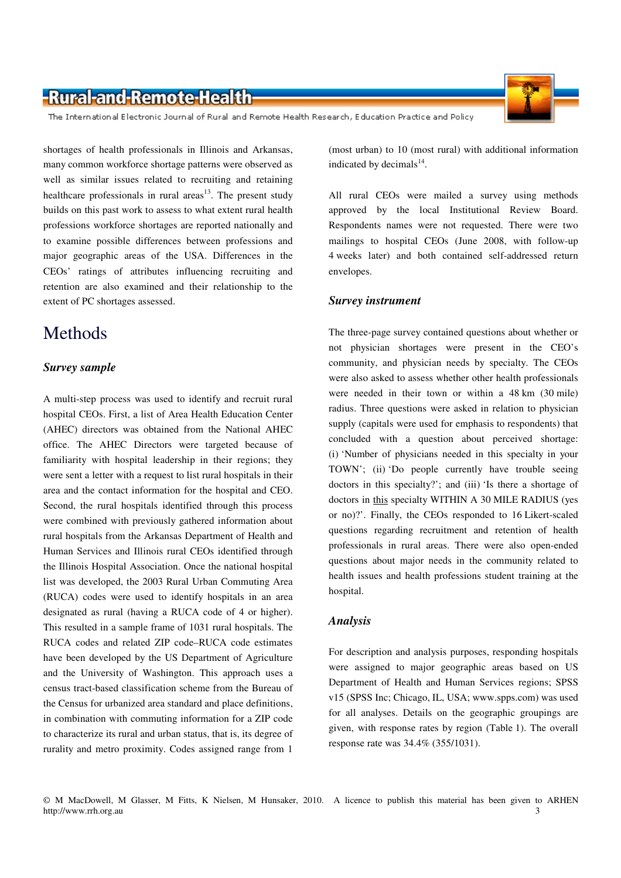The International Electronic Journal of Rural and Remote Health Research, Education Practice and Policy

shortages of health professionals in Illinois and Arkansas, many common workforce shortage patterns were observed as well as similar issues related to recruiting and retaining healthcare professionals in rural areas<sup>13</sup>. The present study builds on this past work to assess to what extent rural health professions workforce shortages are reported nationally and to examine possible differences between professions and major geographic areas of the USA. Differences in the CEOs' ratings of attributes influencing recruiting and retention are also examined and their relationship to the extent of PC shortages assessed.

## **Methods**

#### *Survey sample*

A multi-step process was used to identify and recruit rural hospital CEOs. First, a list of Area Health Education Center (AHEC) directors was obtained from the National AHEC office. The AHEC Directors were targeted because of familiarity with hospital leadership in their regions; they were sent a letter with a request to list rural hospitals in their area and the contact information for the hospital and CEO. Second, the rural hospitals identified through this process were combined with previously gathered information about rural hospitals from the Arkansas Department of Health and Human Services and Illinois rural CEOs identified through the Illinois Hospital Association. Once the national hospital list was developed, the 2003 Rural Urban Commuting Area (RUCA) codes were used to identify hospitals in an area designated as rural (having a RUCA code of 4 or higher). This resulted in a sample frame of 1031 rural hospitals. The RUCA codes and related ZIP code–RUCA code estimates have been developed by the US Department of Agriculture and the University of Washington. This approach uses a census tract-based classification scheme from the Bureau of the Census for urbanized area standard and place definitions, in combination with commuting information for a ZIP code to characterize its rural and urban status, that is, its degree of rurality and metro proximity. Codes assigned range from 1

(most urban) to 10 (most rural) with additional information indicated by decimals $^{14}$ .

All rural CEOs were mailed a survey using methods approved by the local Institutional Review Board. Respondents names were not requested. There were two mailings to hospital CEOs (June 2008, with follow-up 4 weeks later) and both contained self-addressed return envelopes.

#### *Survey instrument*

The three-page survey contained questions about whether or not physician shortages were present in the CEO's community, and physician needs by specialty. The CEOs were also asked to assess whether other health professionals were needed in their town or within a 48 km (30 mile) radius. Three questions were asked in relation to physician supply (capitals were used for emphasis to respondents) that concluded with a question about perceived shortage: (i) 'Number of physicians needed in this specialty in your TOWN'; (ii) 'Do people currently have trouble seeing doctors in this specialty?'; and (iii) 'Is there a shortage of doctors in this specialty WITHIN A 30 MILE RADIUS (yes or no)?'. Finally, the CEOs responded to 16 Likert-scaled questions regarding recruitment and retention of health professionals in rural areas. There were also open-ended questions about major needs in the community related to health issues and health professions student training at the hospital.

#### *Analysis*

For description and analysis purposes, responding hospitals were assigned to major geographic areas based on US Department of Health and Human Services regions; SPSS v15 (SPSS Inc; Chicago, IL, USA; www.spps.com) was used for all analyses. Details on the geographic groupings are given, with response rates by region (Table 1). The overall response rate was 34.4% (355/1031).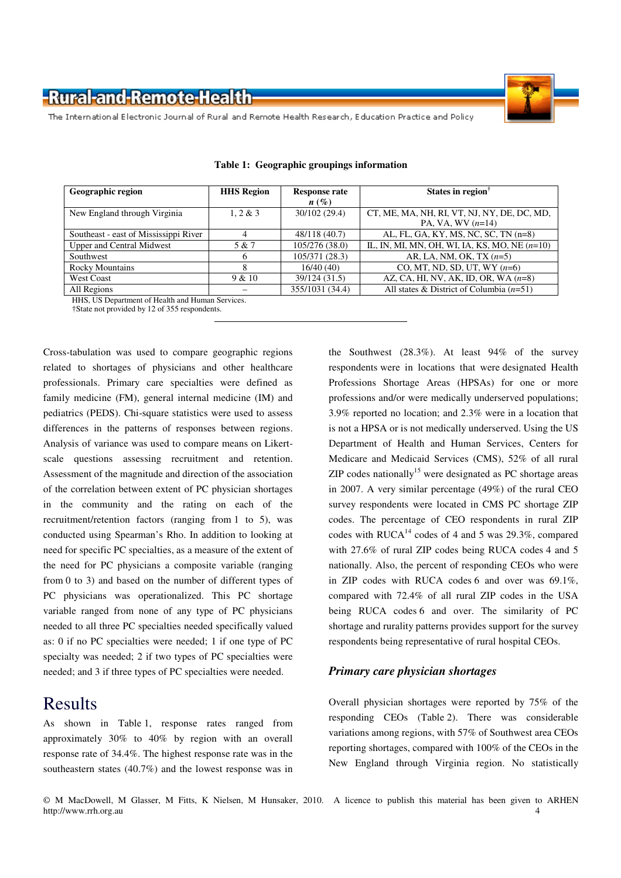

The International Electronic Journal of Rural and Remote Health Research, Education Practice and Policy

| Geographic region                               | <b>HHS Region</b> | <b>Response rate</b> | States in region                                |  |  |  |
|-------------------------------------------------|-------------------|----------------------|-------------------------------------------------|--|--|--|
|                                                 |                   | $n(\%)$              |                                                 |  |  |  |
| New England through Virginia                    | 1.2 & 3           | 30/102 (29.4)        | CT, ME, MA, NH, RI, VT, NJ, NY, DE, DC, MD,     |  |  |  |
|                                                 |                   |                      | PA, VA, WV $(n=14)$                             |  |  |  |
| Southeast - east of Mississippi River           |                   | 48/118 (40.7)        | AL, FL, GA, KY, MS, NC, SC, TN (n=8)            |  |  |  |
| <b>Upper and Central Midwest</b>                | 5 & 7             | 105/276(38.0)        | IL, IN, MI, MN, OH, WI, IA, KS, MO, NE $(n=10)$ |  |  |  |
| Southwest                                       |                   | 105/371 (28.3)       | AR, LA, NM, OK, TX $(n=5)$                      |  |  |  |
| <b>Rocky Mountains</b>                          |                   | 16/40(40)            | CO, MT, ND, SD, UT, WY $(n=6)$                  |  |  |  |
| <b>West Coast</b>                               | 9 & 10            | 39/124 (31.5)        | AZ, CA, HI, NV, AK, ID, OR, WA $(n=8)$          |  |  |  |
| All Regions                                     |                   | 355/1031 (34.4)      | All states & District of Columbia $(n=51)$      |  |  |  |
| HHS IIS Department of Health and Human Services |                   |                      |                                                 |  |  |  |

|  | Table 1: Geographic groupings information |
|--|-------------------------------------------|
|  |                                           |

HHS, US Department of Health and Human Services.

†State not provided by 12 of 355 respondents.

Cross-tabulation was used to compare geographic regions related to shortages of physicians and other healthcare professionals. Primary care specialties were defined as family medicine (FM), general internal medicine (IM) and pediatrics (PEDS). Chi-square statistics were used to assess differences in the patterns of responses between regions. Analysis of variance was used to compare means on Likertscale questions assessing recruitment and retention. Assessment of the magnitude and direction of the association of the correlation between extent of PC physician shortages in the community and the rating on each of the recruitment/retention factors (ranging from 1 to 5), was conducted using Spearman's Rho. In addition to looking at need for specific PC specialties, as a measure of the extent of the need for PC physicians a composite variable (ranging from 0 to 3) and based on the number of different types of PC physicians was operationalized. This PC shortage variable ranged from none of any type of PC physicians needed to all three PC specialties needed specifically valued as: 0 if no PC specialties were needed; 1 if one type of PC specialty was needed; 2 if two types of PC specialties were needed; and 3 if three types of PC specialties were needed.

### Results

As shown in Table 1, response rates ranged from approximately 30% to 40% by region with an overall response rate of 34.4%. The highest response rate was in the southeastern states (40.7%) and the lowest response was in

the Southwest (28.3%). At least 94% of the survey respondents were in locations that were designated Health Professions Shortage Areas (HPSAs) for one or more professions and/or were medically underserved populations; 3.9% reported no location; and 2.3% were in a location that is not a HPSA or is not medically underserved. Using the US Department of Health and Human Services, Centers for Medicare and Medicaid Services (CMS), 52% of all rural  $ZIP$  codes nationally<sup>15</sup> were designated as PC shortage areas in 2007. A very similar percentage (49%) of the rural CEO survey respondents were located in CMS PC shortage ZIP codes. The percentage of CEO respondents in rural ZIP codes with RUCA<sup>14</sup> codes of 4 and 5 was 29.3%, compared with 27.6% of rural ZIP codes being RUCA codes 4 and 5 nationally. Also, the percent of responding CEOs who were in ZIP codes with RUCA codes 6 and over was 69.1%, compared with 72.4% of all rural ZIP codes in the USA being RUCA codes 6 and over. The similarity of PC shortage and rurality patterns provides support for the survey respondents being representative of rural hospital CEOs.

#### *Primary care physician shortages*

Overall physician shortages were reported by 75% of the responding CEOs (Table 2). There was considerable variations among regions, with 57% of Southwest area CEOs reporting shortages, compared with 100% of the CEOs in the New England through Virginia region. No statistically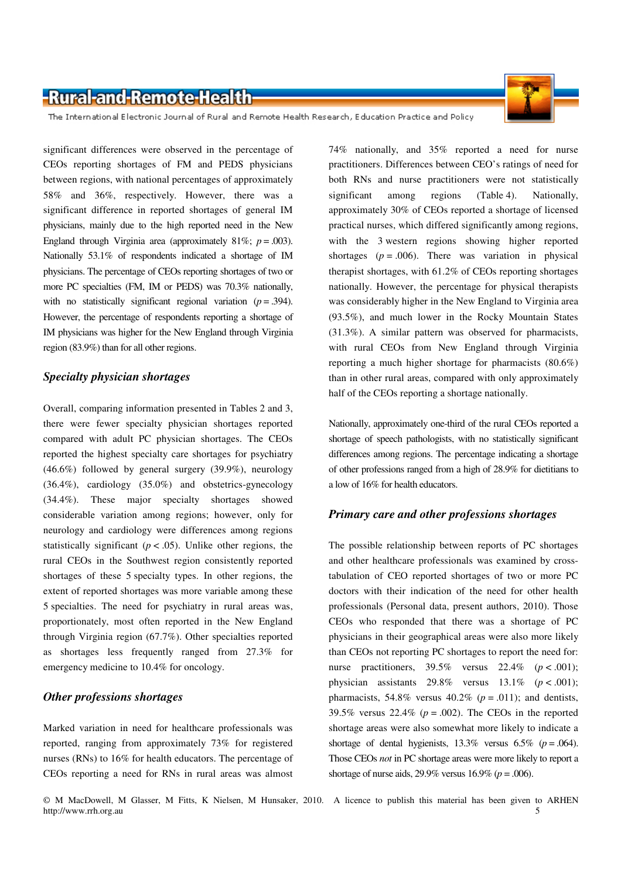The International Electronic Journal of Rural and Remote Health Research, Education Practice and Policy

significant differences were observed in the percentage of CEOs reporting shortages of FM and PEDS physicians between regions, with national percentages of approximately 58% and 36%, respectively. However, there was a significant difference in reported shortages of general IM physicians, mainly due to the high reported need in the New England through Virginia area (approximately  $81\%$ ;  $p = .003$ ). Nationally 53.1% of respondents indicated a shortage of IM physicians. The percentage of CEOs reporting shortages of two or more PC specialties (FM, IM or PEDS) was 70.3% nationally, with no statistically significant regional variation  $(p = .394)$ . However, the percentage of respondents reporting a shortage of IM physicians was higher for the New England through Virginia region (83.9%) than for all other regions.

#### *Specialty physician shortages*

Overall, comparing information presented in Tables 2 and 3, there were fewer specialty physician shortages reported compared with adult PC physician shortages. The CEOs reported the highest specialty care shortages for psychiatry (46.6%) followed by general surgery (39.9%), neurology (36.4%), cardiology (35.0%) and obstetrics-gynecology (34.4%). These major specialty shortages showed considerable variation among regions; however, only for neurology and cardiology were differences among regions statistically significant  $(p < .05)$ . Unlike other regions, the rural CEOs in the Southwest region consistently reported shortages of these 5 specialty types. In other regions, the extent of reported shortages was more variable among these 5 specialties. The need for psychiatry in rural areas was, proportionately, most often reported in the New England through Virginia region (67.7%). Other specialties reported as shortages less frequently ranged from 27.3% for emergency medicine to 10.4% for oncology.

#### *Other professions shortages*

Marked variation in need for healthcare professionals was reported, ranging from approximately 73% for registered nurses (RNs) to 16% for health educators. The percentage of CEOs reporting a need for RNs in rural areas was almost

74% nationally, and 35% reported a need for nurse practitioners. Differences between CEO's ratings of need for both RNs and nurse practitioners were not statistically significant among regions (Table 4). Nationally, approximately 30% of CEOs reported a shortage of licensed practical nurses, which differed significantly among regions, with the 3 western regions showing higher reported shortages  $(p = .006)$ . There was variation in physical therapist shortages, with 61.2% of CEOs reporting shortages nationally. However, the percentage for physical therapists was considerably higher in the New England to Virginia area (93.5%), and much lower in the Rocky Mountain States (31.3%). A similar pattern was observed for pharmacists, with rural CEOs from New England through Virginia reporting a much higher shortage for pharmacists (80.6%) than in other rural areas, compared with only approximately half of the CEOs reporting a shortage nationally.

Nationally, approximately one-third of the rural CEOs reported a shortage of speech pathologists, with no statistically significant differences among regions. The percentage indicating a shortage of other professions ranged from a high of 28.9% for dietitians to a low of 16% for health educators.

#### *Primary care and other professions shortages*

The possible relationship between reports of PC shortages and other healthcare professionals was examined by crosstabulation of CEO reported shortages of two or more PC doctors with their indication of the need for other health professionals (Personal data, present authors, 2010). Those CEOs who responded that there was a shortage of PC physicians in their geographical areas were also more likely than CEOs not reporting PC shortages to report the need for: nurse practitioners,  $39.5\%$  versus  $22.4\%$  ( $p < .001$ ); physician assistants  $29.8\%$  versus  $13.1\%$  ( $p < .001$ ); pharmacists, 54.8% versus  $40.2\%$  ( $p = .011$ ); and dentists, 39.5% versus  $22.4\%$  ( $p = .002$ ). The CEOs in the reported shortage areas were also somewhat more likely to indicate a shortage of dental hygienists,  $13.3\%$  versus  $6.5\%$  ( $p = .064$ ). Those CEOs *not* in PC shortage areas were more likely to report a shortage of nurse aids,  $29.9\%$  versus  $16.9\%$  ( $p = .006$ ).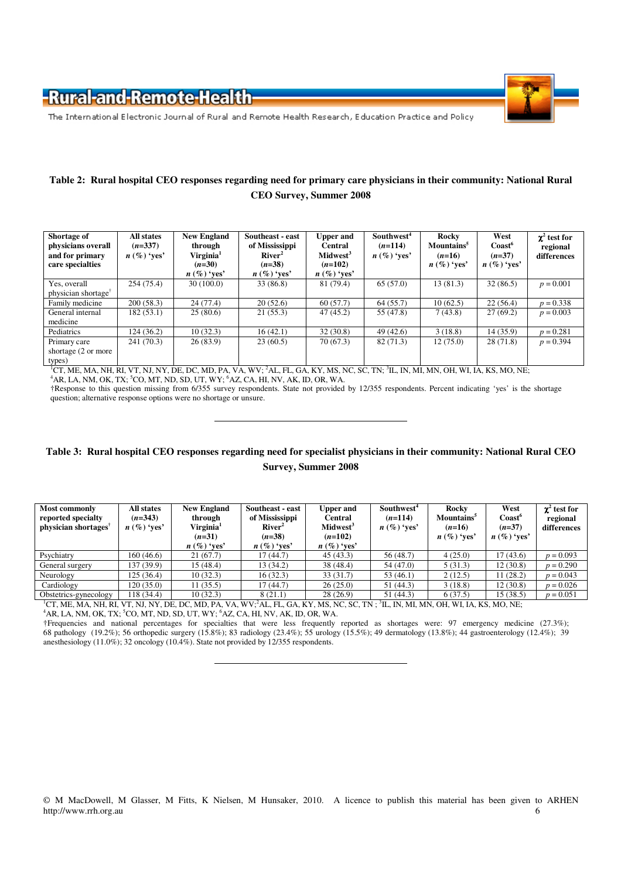

The International Electronic Journal of Rural and Remote Health Research, Education Practice and Policy

#### **Table 2: Rural hospital CEO responses regarding need for primary care physicians in their community: National Rural CEO Survey, Summer 2008**

| Shortage of<br>physicians overall<br>and for primary<br>care specialties | All states<br>$(n=337)$<br>$n (\%)$ 'yes' | <b>New England</b><br>through<br>Virginia <sup>1</sup><br>$(n=30)$<br>$n (\%)$ 'ves' | Southeast - east<br>of Mississippi<br>River <sup>2</sup><br>$(n=38)$<br>$n \left( \% \right)$ 'yes' | <b>Upper and</b><br><b>Central</b><br>Midwest <sup>3</sup><br>$(n=102)$<br>$n \left( \% \right)$ 'yes' | Southwest <sup>4</sup><br>$(n=114)$<br>$n (\%)$ 'yes' | Rocky<br>Mountains <sup>5</sup><br>$(n=16)$<br>$n (\%)$ 'yes' | West<br>$\text{Coast}^6$<br>$(n=37)$<br>$n (\%)$ 'yes' | $\chi^2$ test for<br>regional<br>differences |
|--------------------------------------------------------------------------|-------------------------------------------|--------------------------------------------------------------------------------------|-----------------------------------------------------------------------------------------------------|--------------------------------------------------------------------------------------------------------|-------------------------------------------------------|---------------------------------------------------------------|--------------------------------------------------------|----------------------------------------------|
| Yes, overall<br>physician shortage <sup>™</sup>                          | 254 (75.4)                                | 30(100.0)                                                                            | 33 (86.8)                                                                                           | 81 (79.4)                                                                                              | 65(57.0)                                              | 13(81.3)                                                      | 32(86.5)                                               | $p = 0.001$                                  |
| Family medicine                                                          | 200(58.3)                                 | 24(77.4)                                                                             | 20(52.6)                                                                                            | 60(57.7)                                                                                               | 64(55.7)                                              | 10(62.5)                                                      | 22(56.4)                                               | $p = 0.338$                                  |
| General internal<br>medicine                                             | 182(53.1)                                 | 25(80.6)                                                                             | 21(55.3)                                                                                            | 47(45.2)                                                                                               | 55 (47.8)                                             | 7(43.8)                                                       | 27(69.2)                                               | $p = 0.003$                                  |
| Pediatrics                                                               | 124(36.2)                                 | 10(32.3)                                                                             | 16(42.1)                                                                                            | 32(30.8)                                                                                               | 49(42.6)                                              | 3(18.8)                                                       | 14(35.9)                                               | $p = 0.281$                                  |
| Primary care<br>shortage (2 or more<br>types)                            | 241 (70.3)                                | 26(83.9)                                                                             | 23(60.5)                                                                                            | 70 (67.3)                                                                                              | 82(71.3)                                              | 12(75.0)                                                      | 28(71.8)                                               | $p = 0.394$                                  |

<sup>1</sup>CT, ME, MA, NH, RI, VT, NJ, NY, DE, DC, MD, PA, VA, WV; <sup>2</sup>AL, FL, GA, KY, MS, NC, SC, TN; <sup>3</sup>IL, IN, MI, MN, OH, WI, IA, KS, MO, NE;  ${}^4$ AR, LA, NM, OK, TX;  ${}^5$ CO, MT, ND, SD, UT, WY;  ${}^6$ AZ, CA, HI, NV, AK, ID, OR, WA.

†Response to this question missing from 6/355 survey respondents. State not provided by 12/355 respondents. Percent indicating 'yes' is the shortage question; alternative response options were no shortage or unsure.

#### **Table 3: Rural hospital CEO responses regarding need for specialist physicians in their community: National Rural CEO Survey, Summer 2008**

| <b>New England</b><br>of Mississippi<br>through<br>River <sup>2</sup><br>Virginia <sup>1</sup><br>$(n=38)$<br>$(n=31)$<br>$n (\%)$ 'yes'<br>$n \left( \% \right)$ 'yes' | <b>Upper and</b><br>Central<br>Midwest <sup>3</sup><br>$(n=102)$<br>$n \left( \% \right)$ 'yes' | Southwest <sup>4</sup><br>$(n=114)$<br>$n (\%)$ 'yes' | Rocky<br>Mountains <sup>5</sup><br>$(n=16)$<br>$n \left( \% \right)$ 'yes' | West<br>Coast <sup>o</sup><br>$(n=37)$<br>$n (\%)$ 'yes' | $\chi^2$ test for<br>regional<br>differences |
|-------------------------------------------------------------------------------------------------------------------------------------------------------------------------|-------------------------------------------------------------------------------------------------|-------------------------------------------------------|----------------------------------------------------------------------------|----------------------------------------------------------|----------------------------------------------|
| 21(67.7)<br>(7(44.7))                                                                                                                                                   | 45(43.3)                                                                                        | 56 (48.7)                                             | 4(25.0)                                                                    | 17 (43.6)                                                | $p = 0.093$                                  |
| 15(48.4)<br>13(34.2)                                                                                                                                                    | 38 (48.4)                                                                                       | 54 (47.0)                                             | 5(31.3)                                                                    | 12 (30.8)                                                | $p = 0.290$                                  |
| 16(32.3)<br>10(32.3)                                                                                                                                                    | 33(31.7)                                                                                        | 53(46.1)                                              | 2(12.5)                                                                    | 11(28.2)                                                 | $p = 0.043$                                  |
| 11(35.5)<br>(7(44.7))                                                                                                                                                   | 26(25.0)                                                                                        | 51 (44.3)                                             | 3(18.8)                                                                    | 12 (30.8)                                                | $p = 0.026$                                  |
| 8(21.1)<br>10(32.3)                                                                                                                                                     | 28(26.9)                                                                                        | 51 (44.3)                                             | 6(37.5)                                                                    | 15(38.5)                                                 | $p = 0.051$                                  |
|                                                                                                                                                                         | Southeast - east                                                                                |                                                       | $CP$ MP MA MILDI UT MI MY DP DO MD DA MA WILLAU PL OA IZV MO MO GO TM      |                                                          | $\overline{M}$ IN MEMBERGHEM IN THE MOVIE    |

<sup>1</sup>CT, ME, MA, NH, RI, VT, NJ, NY, DE, DC, MD, PA, VA, WV;<sup>2</sup>AL, FL, GA, KY, MS, NC, SC, TN ; <sup>3</sup>IL, IN, MI, MN, OH, WI, IA, KS, MO, NE;<br><sup>4</sup>AR, LA, NM, OK, TX; <sup>5</sup>CO, MT, ND, SD, UT, WY; <sup>6</sup>AZ, CA, HI, NV, AK, ID, OR, WA.

†Frequencies and national percentages for specialties that were less frequently reported as shortages were: 97 emergency medicine (27.3%); 68 pathology (19.2%); 56 orthopedic surgery (15.8%); 83 radiology (23.4%); 55 urology (15.5%); 49 dermatology (13.8%); 44 gastroenterology (12.4%); 39 anesthesiology (11.0%); 32 oncology (10.4%). State not provided by 12/355 respondents.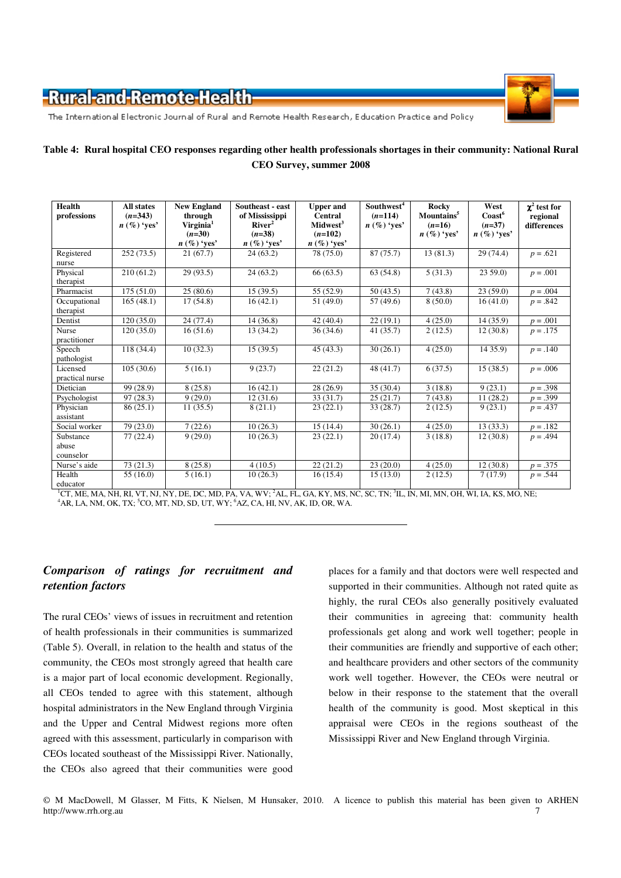

The International Electronic Journal of Rural and Remote Health Research, Education Practice and Policy

#### **Table 4: Rural hospital CEO responses regarding other health professionals shortages in their community: National Rural CEO Survey, summer 2008**

| Health<br>professions        | <b>All states</b><br>$(n=343)$<br>$n \left( \% \right)$ 'yes' | <b>New England</b><br>through<br>Virginia <sup>1</sup><br>$(n=30)$<br>$n \left( \% \right)$ 'yes' | Southeast - east<br>of Mississippi<br>River <sup>2</sup><br>$(n=38)$<br>$n \left( \% \right)$ 'yes' | <b>Upper</b> and<br><b>Central</b><br>Midwest <sup>3</sup><br>$(n=102)$<br>$n \left( \% \right)$ 'yes' | Southwest <sup>4</sup><br>$(n=114)$<br>$n (\%)$ 'yes' | Rocky<br>Mountains <sup>5</sup><br>$(n=16)$<br>$n (\%)$ 'ves' | West<br>$\text{Coast}^6$<br>$(n=37)$<br>$n \left( \% \right)$ 'yes' | $\chi^2$ test for<br>regional<br>differences |
|------------------------------|---------------------------------------------------------------|---------------------------------------------------------------------------------------------------|-----------------------------------------------------------------------------------------------------|--------------------------------------------------------------------------------------------------------|-------------------------------------------------------|---------------------------------------------------------------|---------------------------------------------------------------------|----------------------------------------------|
| Registered                   | 252(73.5)                                                     | 21(67.7)                                                                                          | 24(63.2)                                                                                            | 78 (75.0)                                                                                              | 87(75.7)                                              | 13(81.3)                                                      | 29(74.4)                                                            | $p = .621$                                   |
| nurse                        |                                                               |                                                                                                   |                                                                                                     |                                                                                                        |                                                       |                                                               |                                                                     |                                              |
| Physical                     | 210(61.2)                                                     | 29(93.5)                                                                                          | 24(63.2)                                                                                            | 66(63.5)                                                                                               | 63(54.8)                                              | 5(31.3)                                                       | 2359.0                                                              | $p = .001$                                   |
| therapist                    |                                                               |                                                                                                   |                                                                                                     |                                                                                                        |                                                       |                                                               |                                                                     |                                              |
| Pharmacist                   | 175(51.0)                                                     | 25(80.6)                                                                                          | 15(39.5)                                                                                            | 55 (52.9)                                                                                              | 50(43.5)                                              | 7(43.8)                                                       | 23(59.0)                                                            | $p = .004$                                   |
| Occupational<br>therapist    | 165(48.1)                                                     | 17(54.8)                                                                                          | 16(42.1)                                                                                            | 51(49.0)                                                                                               | 57(49.6)                                              | 8(50.0)                                                       | 16(41.0)                                                            | $p = .842$                                   |
| Dentist                      | 120(35.0)                                                     | 24 (77.4)                                                                                         | 14(36.8)                                                                                            | 42(40.4)                                                                                               | 22(19.1)                                              | 4(25.0)                                                       | 14(35.9)                                                            | $p = .001$                                   |
| <b>Nurse</b><br>practitioner | 120(35.0)                                                     | 16(51.6)                                                                                          | 13 (34.2)                                                                                           | 36(34.6)                                                                                               | 41(35.7)                                              | 2(12.5)                                                       | 12(30.8)                                                            | $p = .175$                                   |
| Speech<br>pathologist        | 118 (34.4)                                                    | 10(32.3)                                                                                          | 15(39.5)                                                                                            | 45(43.3)                                                                                               | 30(26.1)                                              | 4(25.0)                                                       | 14 35.9)                                                            | $p = .140$                                   |
| Licensed<br>practical nurse  | 105(30.6)                                                     | 5(16.1)                                                                                           | 9(23.7)                                                                                             | 22(21.2)                                                                                               | 48(41.7)                                              | 6(37.5)                                                       | 15(38.5)                                                            | $p = .006$                                   |
| Dietician                    | 99 (28.9)                                                     | 8(25.8)                                                                                           | 16(42.1)                                                                                            | 28(26.9)                                                                                               | 35 (30.4)                                             | 3(18.8)                                                       | 9(23.1)                                                             | $p = .398$                                   |
| Psychologist                 | 97(28.3)                                                      | 9(29.0)                                                                                           | 12(31.6)                                                                                            | 33(31.7)                                                                                               | 25(21.7)                                              | 7(43.8)                                                       | 11(28.2)                                                            | $p = .399$                                   |
| Physician<br>assistant       | 86(25.1)                                                      | 11(35.5)                                                                                          | 8(21.1)                                                                                             | 23(22.1)                                                                                               | 33 (28.7)                                             | 2(12.5)                                                       | 9(23.1)                                                             | $p = .437$                                   |
| Social worker                | 79 (23.0)                                                     | 7(22.6)                                                                                           | 10(26.3)                                                                                            | 15(14.4)                                                                                               | 30(26.1)                                              | 4(25.0)                                                       | 13(33.3)                                                            | $p = .182$                                   |
| Substance                    | 77(22.4)                                                      | 9(29.0)                                                                                           | 10(26.3)                                                                                            | 23(22.1)                                                                                               | 20(17.4)                                              | 3(18.8)                                                       | 12(30.8)                                                            | $p = .494$                                   |
| abuse<br>counselor           |                                                               |                                                                                                   |                                                                                                     |                                                                                                        |                                                       |                                                               |                                                                     |                                              |
| Nurse's aide                 | 73(21.3)                                                      | 8(25.8)                                                                                           | 4(10.5)                                                                                             | 22(21.2)                                                                                               | 23(20.0)                                              | 4(25.0)                                                       | 12(30.8)                                                            | $p = .375$                                   |
| Health<br>educator           | 55 (16.0)                                                     | 5(16.1)                                                                                           | 10(26.3)                                                                                            | 16(15.4)                                                                                               | 15(13.0)                                              | 2(12.5)                                                       | 7(17.9)                                                             | $p = .544$                                   |

<sup>1</sup>CT, ME, MA, NH, RI, VT, NJ, NY, DE, DC, MD, PA, VA, WV; <sup>2</sup>AL, FL, GA, KY, MS, NC, SC, TN; <sup>3</sup>IL, IN, MI, MN, OH, WI, IA, KS, MO, NE;  $4$ AR, LA, NM, OK, TX;  $5$ CO, MT, ND, SD, UT, WY;  $6$ AZ, CA, HI, NV, AK, ID, OR, WA.

#### *Comparison of ratings for recruitment and retention factors*

The rural CEOs' views of issues in recruitment and retention of health professionals in their communities is summarized (Table 5). Overall, in relation to the health and status of the community, the CEOs most strongly agreed that health care is a major part of local economic development. Regionally, all CEOs tended to agree with this statement, although hospital administrators in the New England through Virginia and the Upper and Central Midwest regions more often agreed with this assessment, particularly in comparison with CEOs located southeast of the Mississippi River. Nationally, the CEOs also agreed that their communities were good

places for a family and that doctors were well respected and supported in their communities. Although not rated quite as highly, the rural CEOs also generally positively evaluated their communities in agreeing that: community health professionals get along and work well together; people in their communities are friendly and supportive of each other; and healthcare providers and other sectors of the community work well together. However, the CEOs were neutral or below in their response to the statement that the overall health of the community is good. Most skeptical in this appraisal were CEOs in the regions southeast of the Mississippi River and New England through Virginia.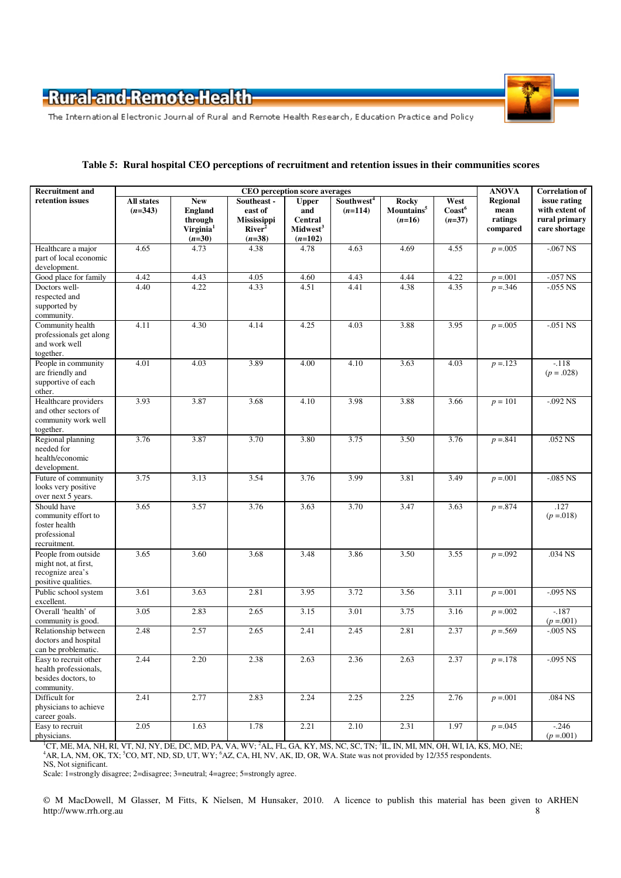

The International Electronic Journal of Rural and Remote Health Research, Education Practice and Policy

| Table 5: Rural hospital CEO perceptions of recruitment and retention issues in their communities scores |  |
|---------------------------------------------------------------------------------------------------------|--|
|---------------------------------------------------------------------------------------------------------|--|

| <b>Recruitment and</b>                                                                 | CEO perception score averages |                                                                              |                                                                                |                                                                            |                                     | <b>ANOVA</b>                                       | <b>Correlation of</b>                |                                                |                                                                  |
|----------------------------------------------------------------------------------------|-------------------------------|------------------------------------------------------------------------------|--------------------------------------------------------------------------------|----------------------------------------------------------------------------|-------------------------------------|----------------------------------------------------|--------------------------------------|------------------------------------------------|------------------------------------------------------------------|
| retention issues                                                                       | All states<br>$(n=343)$       | <b>New</b><br><b>England</b><br>through<br>Virginia <sup>1</sup><br>$(n=30)$ | Southeast -<br>east of<br><b>Mississippi</b><br>River <sup>2</sup><br>$(n=38)$ | <b>Upper</b><br>and<br><b>Central</b><br>Midwest <sup>3</sup><br>$(n=102)$ | Southwest <sup>4</sup><br>$(n=114)$ | <b>Rocky</b><br>Mountains <sup>5</sup><br>$(n=16)$ | West<br>$\text{Coast}^6$<br>$(n=37)$ | <b>Regional</b><br>mean<br>ratings<br>compared | issue rating<br>with extent of<br>rural primary<br>care shortage |
| Healthcare a major<br>part of local economic<br>development.                           | 4.65                          | 4.73                                                                         | 4.38                                                                           | 4.78                                                                       | 4.63                                | 4.69                                               | 4.55                                 | $p = 0.005$                                    | $-067$ NS                                                        |
| Good place for family                                                                  | 4.42                          | 4.43                                                                         | 4.05                                                                           | 4.60                                                                       | 4.43                                | 4.44                                               | 4.22                                 | $p = 0.001$                                    | $-057$ NS                                                        |
| Doctors well-<br>respected and<br>supported by<br>community.                           | 4.40                          | 4.22                                                                         | 4.33                                                                           | 4.51                                                                       | 4.41                                | 4.38                                               | 4.35                                 | $p = 346$                                      | $-0.055$ NS                                                      |
| Community health<br>professionals get along<br>and work well<br>together.              | 4.11                          | 4.30                                                                         | 4.14                                                                           | 4.25                                                                       | 4.03                                | 3.88                                               | 3.95                                 | $p = 0.005$                                    | $-.051$ NS                                                       |
| People in community<br>are friendly and<br>supportive of each<br>other.                | 4.01                          | 4.03                                                                         | 3.89                                                                           | 4.00                                                                       | 4.10                                | 3.63                                               | 4.03                                 | $p = 123$                                      | $-118$<br>$(p=.028)$                                             |
| Healthcare providers<br>and other sectors of<br>community work well<br>together.       | 3.93                          | 3.87                                                                         | 3.68                                                                           | 4.10                                                                       | 3.98                                | 3.88                                               | 3.66                                 | $p = 101$                                      | $-.092$ NS                                                       |
| Regional planning<br>needed for<br>health/economic<br>development.                     | 3.76                          | 3.87                                                                         | 3.70                                                                           | 3.80                                                                       | 3.75                                | 3.50                                               | 3.76                                 | $p = 841$                                      | .052 NS                                                          |
| Future of community<br>looks very positive<br>over next 5 years.                       | 3.75                          | 3.13                                                                         | 3.54                                                                           | 3.76                                                                       | 3.99                                | 3.81                                               | 3.49                                 | $p = 0.001$                                    | $-085$ NS                                                        |
| Should have<br>community effort to<br>foster health<br>professional<br>recruitment.    | 3.65                          | 3.57                                                                         | 3.76                                                                           | 3.63                                                                       | 3.70                                | 3.47                                               | 3.63                                 | $p = 874$                                      | .127<br>$(p = 018)$                                              |
| People from outside<br>might not, at first,<br>recognize area's<br>positive qualities. | 3.65                          | 3.60                                                                         | 3.68                                                                           | 3.48                                                                       | 3.86                                | 3.50                                               | 3.55                                 | $p = 0.092$                                    | .034 NS                                                          |
| Public school system<br>excellent.                                                     | 3.61                          | 3.63                                                                         | 2.81                                                                           | 3.95                                                                       | 3.72                                | 3.56                                               | 3.11                                 | $p = 0.001$                                    | $-0.095$ NS                                                      |
| Overall 'health' of<br>community is good.                                              | 3.05                          | 2.83                                                                         | 2.65                                                                           | 3.15                                                                       | 3.01                                | 3.75                                               | 3.16                                 | $p = 0.002$                                    | $-187$<br>$(p = 0.001)$                                          |
| Relationship between<br>doctors and hospital<br>can be problematic.                    | 2.48                          | 2.57                                                                         | 2.65                                                                           | 2.41                                                                       | 2.45                                | 2.81                                               | 2.37                                 | $p = 569$                                      | $-0.005$ NS                                                      |
| Easy to recruit other<br>health professionals,<br>besides doctors, to<br>community.    | 2.44                          | 2.20                                                                         | 2.38                                                                           | 2.63                                                                       | 2.36                                | 2.63                                               | 2.37                                 | $p = 178$                                      | $-0.095$ NS                                                      |
| Difficult for<br>physicians to achieve<br>career goals.                                | 2.41                          | 2.77                                                                         | 2.83                                                                           | 2.24                                                                       | 2.25                                | 2.25                                               | 2.76                                 | $p = 0.001$                                    | .084 NS                                                          |
| Easy to recruit<br>physicians.                                                         | 2.05                          | 1.63                                                                         | 1.78                                                                           | 2.21                                                                       | 2.10                                | 2.31                                               | 1.97                                 | $p = 0.045$                                    | $-246$<br>$(p = 0.001)$                                          |

<sup>1</sup>CT, ME, MA, NH, RI, VT, NJ, NY, DE, DC, MD, PA, VA, WV; <sup>2</sup>AL, FL, GA, KY, MS, NC, SC, TN; <sup>3</sup>IL, IN, MI, MN, OH, WI, IA, KS, MO, NE;

<sup>4</sup>AR, LA, NM, OK, TX; <sup>5</sup>CO, MT, ND, SD, UT, WY; <sup>6</sup>AZ, CA, HI, NV, AK, ID, OR, WA. State was not provided by 12/355 respondents.

NS, Not significant.

Scale: 1=strongly disagree; 2=disagree; 3=neutral; 4=agree; 5=strongly agree.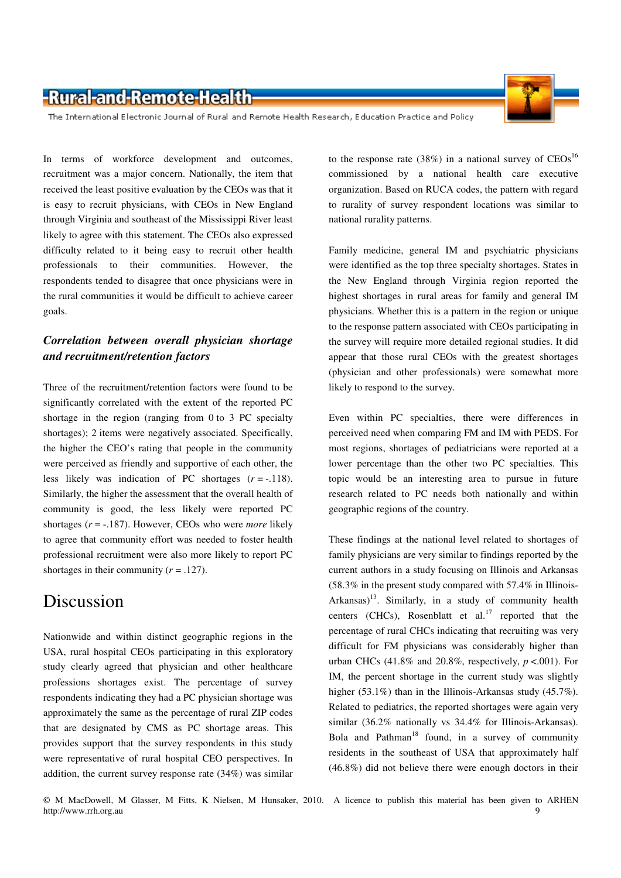

In terms of workforce development and outcomes, recruitment was a major concern. Nationally, the item that received the least positive evaluation by the CEOs was that it is easy to recruit physicians, with CEOs in New England through Virginia and southeast of the Mississippi River least likely to agree with this statement. The CEOs also expressed difficulty related to it being easy to recruit other health professionals to their communities. However, the respondents tended to disagree that once physicians were in the rural communities it would be difficult to achieve career goals.

#### *Correlation between overall physician shortage and recruitment/retention factors*

Three of the recruitment/retention factors were found to be significantly correlated with the extent of the reported PC shortage in the region (ranging from 0 to 3 PC specialty shortages); 2 items were negatively associated. Specifically, the higher the CEO's rating that people in the community were perceived as friendly and supportive of each other, the less likely was indication of PC shortages  $(r = -118)$ . Similarly, the higher the assessment that the overall health of community is good, the less likely were reported PC shortages (*r* = -.187). However, CEOs who were *more* likely to agree that community effort was needed to foster health professional recruitment were also more likely to report PC shortages in their community  $(r = .127)$ .

# Discussion

Nationwide and within distinct geographic regions in the USA, rural hospital CEOs participating in this exploratory study clearly agreed that physician and other healthcare professions shortages exist. The percentage of survey respondents indicating they had a PC physician shortage was approximately the same as the percentage of rural ZIP codes that are designated by CMS as PC shortage areas. This provides support that the survey respondents in this study were representative of rural hospital CEO perspectives. In addition, the current survey response rate (34%) was similar

to the response rate (38%) in a national survey of  $CEOs<sup>16</sup>$ commissioned by a national health care executive organization. Based on RUCA codes, the pattern with regard to rurality of survey respondent locations was similar to national rurality patterns.

Family medicine, general IM and psychiatric physicians were identified as the top three specialty shortages. States in the New England through Virginia region reported the highest shortages in rural areas for family and general IM physicians. Whether this is a pattern in the region or unique to the response pattern associated with CEOs participating in the survey will require more detailed regional studies. It did appear that those rural CEOs with the greatest shortages (physician and other professionals) were somewhat more likely to respond to the survey.

Even within PC specialties, there were differences in perceived need when comparing FM and IM with PEDS. For most regions, shortages of pediatricians were reported at a lower percentage than the other two PC specialties. This topic would be an interesting area to pursue in future research related to PC needs both nationally and within geographic regions of the country.

These findings at the national level related to shortages of family physicians are very similar to findings reported by the current authors in a study focusing on Illinois and Arkansas (58.3% in the present study compared with 57.4% in Illinois-Arkansas)<sup>13</sup>. Similarly, in a study of community health centers (CHCs), Rosenblatt et al.<sup>17</sup> reported that the percentage of rural CHCs indicating that recruiting was very difficult for FM physicians was considerably higher than urban CHCs  $(41.8\%$  and  $20.8\%$ , respectively,  $p < .001$ ). For IM, the percent shortage in the current study was slightly higher (53.1%) than in the Illinois-Arkansas study (45.7%). Related to pediatrics, the reported shortages were again very similar (36.2% nationally vs 34.4% for Illinois-Arkansas). Bola and Pathman<sup>18</sup> found, in a survey of community residents in the southeast of USA that approximately half (46.8%) did not believe there were enough doctors in their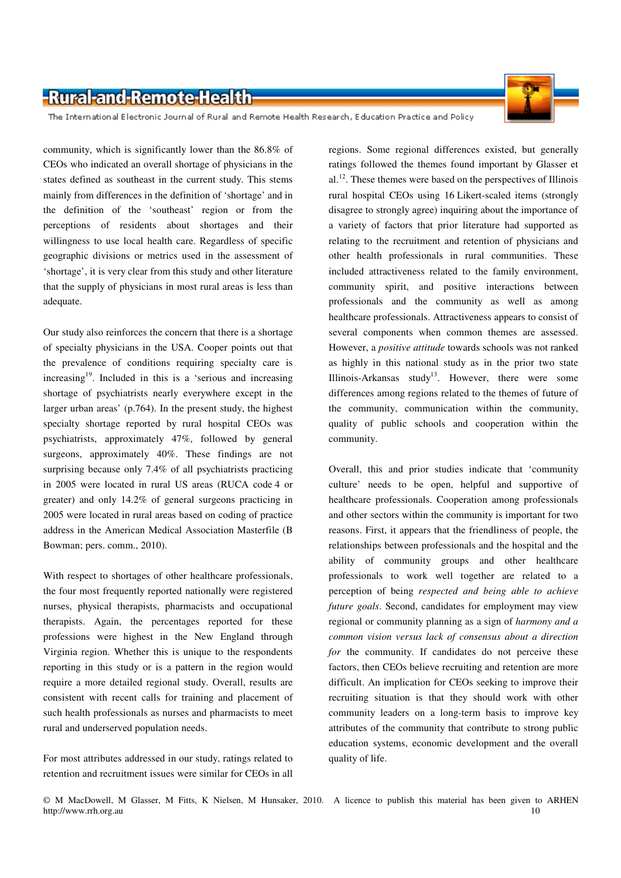The International Electronic Journal of Rural and Remote Health Research, Education Practice and Policy

community, which is significantly lower than the 86.8% of CEOs who indicated an overall shortage of physicians in the states defined as southeast in the current study. This stems mainly from differences in the definition of 'shortage' and in the definition of the 'southeast' region or from the perceptions of residents about shortages and their willingness to use local health care. Regardless of specific geographic divisions or metrics used in the assessment of 'shortage', it is very clear from this study and other literature that the supply of physicians in most rural areas is less than adequate.

Our study also reinforces the concern that there is a shortage of specialty physicians in the USA. Cooper points out that the prevalence of conditions requiring specialty care is  $increasing<sup>19</sup>$ . Included in this is a 'serious and increasing shortage of psychiatrists nearly everywhere except in the larger urban areas' (p.764). In the present study, the highest specialty shortage reported by rural hospital CEOs was psychiatrists, approximately 47%, followed by general surgeons, approximately 40%. These findings are not surprising because only 7.4% of all psychiatrists practicing in 2005 were located in rural US areas (RUCA code 4 or greater) and only 14.2% of general surgeons practicing in 2005 were located in rural areas based on coding of practice address in the American Medical Association Masterfile (B Bowman; pers. comm., 2010).

With respect to shortages of other healthcare professionals, the four most frequently reported nationally were registered nurses, physical therapists, pharmacists and occupational therapists. Again, the percentages reported for these professions were highest in the New England through Virginia region. Whether this is unique to the respondents reporting in this study or is a pattern in the region would require a more detailed regional study. Overall, results are consistent with recent calls for training and placement of such health professionals as nurses and pharmacists to meet rural and underserved population needs.

For most attributes addressed in our study, ratings related to retention and recruitment issues were similar for CEOs in all

regions. Some regional differences existed, but generally ratings followed the themes found important by Glasser et  $al.<sup>12</sup>$ . These themes were based on the perspectives of Illinois rural hospital CEOs using 16 Likert-scaled items (strongly disagree to strongly agree) inquiring about the importance of a variety of factors that prior literature had supported as relating to the recruitment and retention of physicians and other health professionals in rural communities. These included attractiveness related to the family environment, community spirit, and positive interactions between professionals and the community as well as among healthcare professionals. Attractiveness appears to consist of several components when common themes are assessed. However, a *positive attitude* towards schools was not ranked as highly in this national study as in the prior two state Illinois-Arkansas study<sup>13</sup>. However, there were some differences among regions related to the themes of future of the community, communication within the community, quality of public schools and cooperation within the community.

Overall, this and prior studies indicate that 'community culture' needs to be open, helpful and supportive of healthcare professionals. Cooperation among professionals and other sectors within the community is important for two reasons. First, it appears that the friendliness of people, the relationships between professionals and the hospital and the ability of community groups and other healthcare professionals to work well together are related to a perception of being *respected and being able to achieve future goals*. Second, candidates for employment may view regional or community planning as a sign of *harmony and a common vision versus lack of consensus about a direction for* the community. If candidates do not perceive these factors, then CEOs believe recruiting and retention are more difficult. An implication for CEOs seeking to improve their recruiting situation is that they should work with other community leaders on a long-term basis to improve key attributes of the community that contribute to strong public education systems, economic development and the overall quality of life.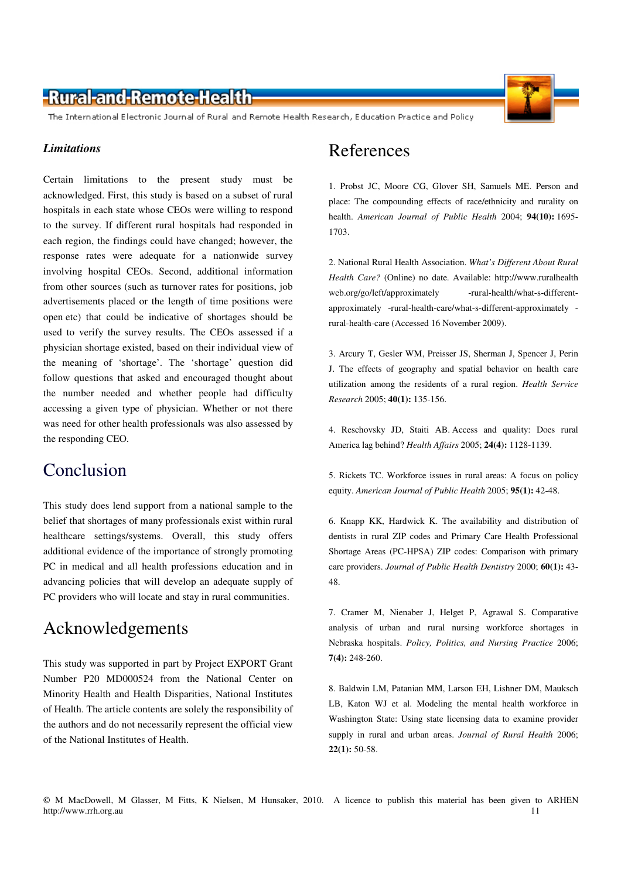The International Electronic Journal of Rural and Remote Health Research, Education Practice and Policy

#### *Limitations*

Certain limitations to the present study must be acknowledged. First, this study is based on a subset of rural hospitals in each state whose CEOs were willing to respond to the survey. If different rural hospitals had responded in each region, the findings could have changed; however, the response rates were adequate for a nationwide survey involving hospital CEOs. Second, additional information from other sources (such as turnover rates for positions, job advertisements placed or the length of time positions were open etc) that could be indicative of shortages should be used to verify the survey results. The CEOs assessed if a physician shortage existed, based on their individual view of the meaning of 'shortage'. The 'shortage' question did follow questions that asked and encouraged thought about the number needed and whether people had difficulty accessing a given type of physician. Whether or not there was need for other health professionals was also assessed by the responding CEO.

### Conclusion

This study does lend support from a national sample to the belief that shortages of many professionals exist within rural healthcare settings/systems. Overall, this study offers additional evidence of the importance of strongly promoting PC in medical and all health professions education and in advancing policies that will develop an adequate supply of PC providers who will locate and stay in rural communities.

## Acknowledgements

This study was supported in part by Project EXPORT Grant Number P20 MD000524 from the National Center on Minority Health and Health Disparities, National Institutes of Health. The article contents are solely the responsibility of the authors and do not necessarily represent the official view of the National Institutes of Health.

# References

1. Probst JC, Moore CG, Glover SH, Samuels ME. Person and place: The compounding effects of race/ethnicity and rurality on health. *American Journal of Public Health* 2004; **94(10):** 1695- 1703.

2. National Rural Health Association. *What's Different About Rural Health Care?* (Online) no date. Available: http://www.ruralhealth web.org/go/left/approximately -rural-health/what-s-differentapproximately -rural-health-care/what-s-different-approximately rural-health-care (Accessed 16 November 2009).

3. Arcury T, Gesler WM, Preisser JS, Sherman J, Spencer J, Perin J. The effects of geography and spatial behavior on health care utilization among the residents of a rural region. *Health Service Research* 2005; **40(1):** 135-156.

4. Reschovsky JD, Staiti AB. Access and quality: Does rural America lag behind? *Health Affairs* 2005; **24(4):** 1128-1139.

5. Rickets TC. Workforce issues in rural areas: A focus on policy equity. *American Journal of Public Health* 2005; **95(1):** 42-48.

6. Knapp KK, Hardwick K. The availability and distribution of dentists in rural ZIP codes and Primary Care Health Professional Shortage Areas (PC-HPSA) ZIP codes: Comparison with primary care providers. *Journal of Public Health Dentistry* 2000; **60(1):** 43- 48.

7. Cramer M, Nienaber J, Helget P, Agrawal S. Comparative analysis of urban and rural nursing workforce shortages in Nebraska hospitals. *Policy, Politics, and Nursing Practice* 2006; **7(4):** 248-260.

8. Baldwin LM, Patanian MM, Larson EH, Lishner DM, Mauksch LB, Katon WJ et al. Modeling the mental health workforce in Washington State: Using state licensing data to examine provider supply in rural and urban areas. *Journal of Rural Health* 2006; **22(1):** 50-58.